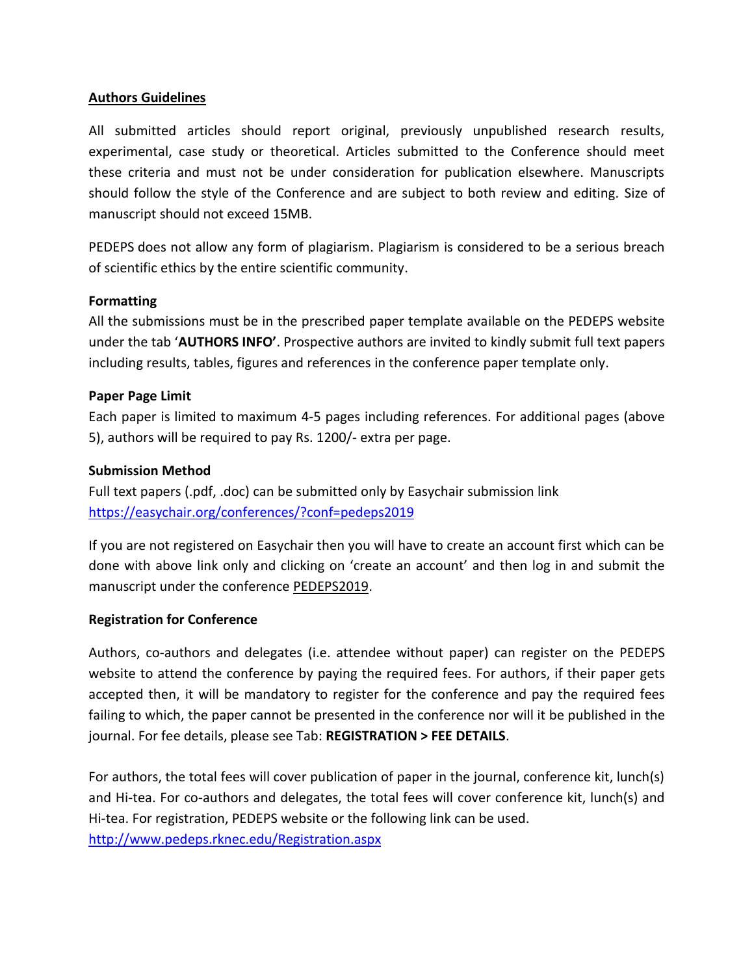# **Authors Guidelines**

All submitted articles should report original, previously unpublished research results, experimental, case study or theoretical. Articles submitted to the Conference should meet these criteria and must not be under consideration for publication elsewhere. Manuscripts should follow the style of the Conference and are subject to both review and editing. Size of manuscript should not exceed 15MB.

PEDEPS does not allow any form of plagiarism. Plagiarism is considered to be a serious breach of scientific ethics by the entire scientific community.

# **Formatting**

All the submissions must be in the prescribed paper template available on the PEDEPS website under the tab '**AUTHORS INFO'**. Prospective authors are invited to kindly submit full text papers including results, tables, figures and references in the conference paper template only.

### **Paper Page Limit**

Each paper is limited to maximum 4-5 pages including references. For additional pages (above 5), authors will be required to pay Rs. 1200/- extra per page.

### **Submission Method**

Full text papers (.pdf, .doc) can be submitted only by Easychair submission link <https://easychair.org/conferences/?conf=pedeps2019>

If you are not registered on Easychair then you will have to create an account first which can be done with above link only and clicking on 'create an account' and then log in and submit the manuscript under the conference PEDEPS2019.

### **Registration for Conference**

Authors, co-authors and delegates (i.e. attendee without paper) can register on the PEDEPS website to attend the conference by paying the required fees. For authors, if their paper gets accepted then, it will be mandatory to register for the conference and pay the required fees failing to which, the paper cannot be presented in the conference nor will it be published in the journal. For fee details, please see Tab: **REGISTRATION > FEE DETAILS**.

For authors, the total fees will cover publication of paper in the journal, conference kit, lunch(s) and Hi-tea. For co-authors and delegates, the total fees will cover conference kit, lunch(s) and Hi-tea. For registration, PEDEPS website or the following link can be used. <http://www.pedeps.rknec.edu/Registration.aspx>